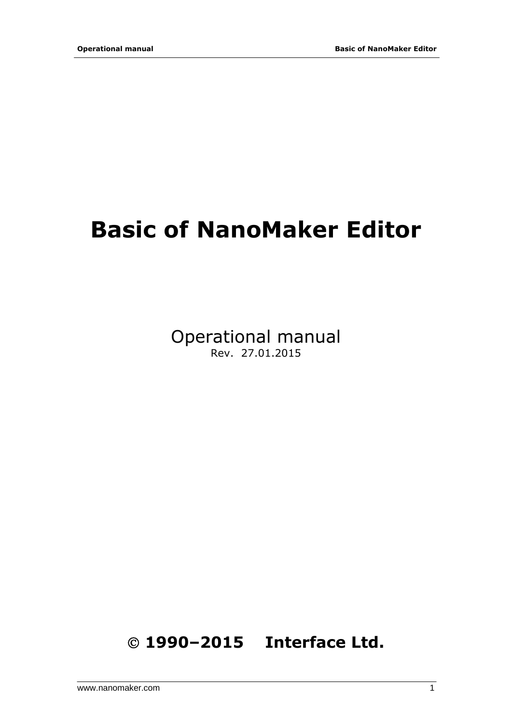# **Basic of NanoMaker Editor**

Operational manual Rev. 27.01.2015

© **1990–2015 Interface Ltd.**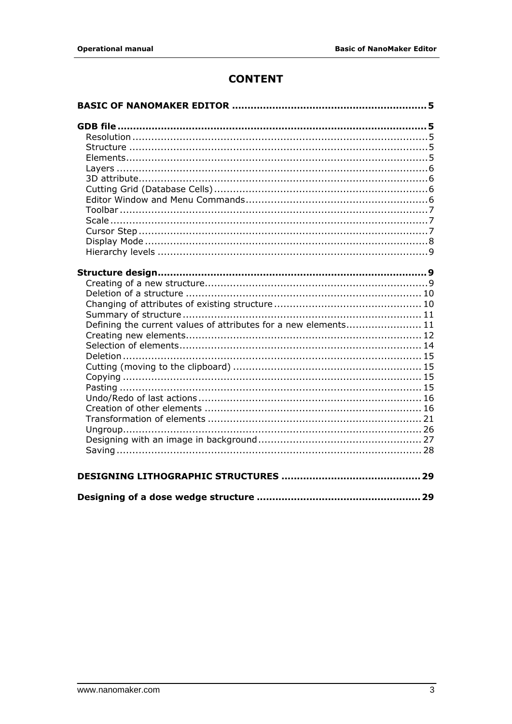# **CONTENT**

| Defining the current values of attributes for a new elements 11 |  |
|-----------------------------------------------------------------|--|
|                                                                 |  |
|                                                                 |  |
|                                                                 |  |
|                                                                 |  |
|                                                                 |  |
|                                                                 |  |
|                                                                 |  |
|                                                                 |  |
|                                                                 |  |
|                                                                 |  |
|                                                                 |  |
|                                                                 |  |
|                                                                 |  |
|                                                                 |  |
|                                                                 |  |
|                                                                 |  |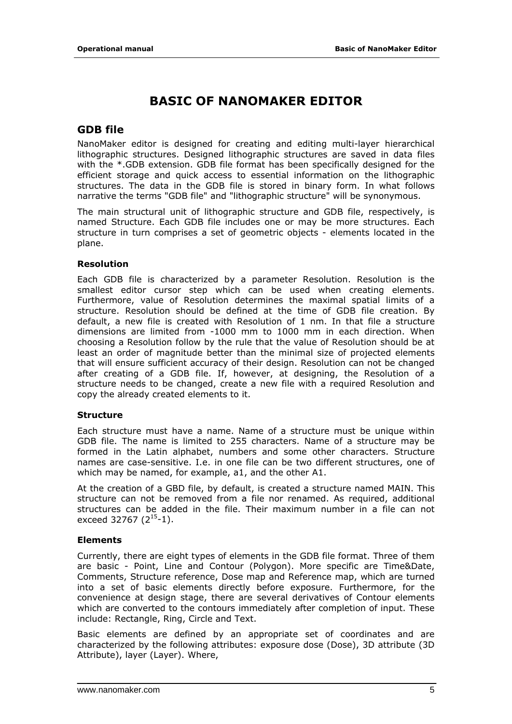# **BASIC OF NANOMAKER EDITOR**

## <span id="page-4-0"></span>**GDB file**

NanoMaker editor is designed for creating and editing multi-layer hierarchical lithographic structures. Designed lithographic structures are saved in data files with the \*.GDB extension. GDB file format has been specifically designed for the efficient storage and quick access to essential information on the lithographic structures. The data in the GDB file is stored in binary form. In what follows narrative the terms "GDB file" and "lithographic structure" will be synonymous.

The main structural unit of lithographic structure and GDB file, respectively, is named Structure. Each GDB file includes one or may be more structures. Each structure in turn comprises a set of geometric objects - elements located in the plane.

#### **Resolution**

Each GDB file is characterized by a parameter Resolution. Resolution is the smallest editor cursor step which can be used when creating elements. Furthermore, value of Resolution determines the maximal spatial limits of a structure. Resolution should be defined at the time of GDB file creation. By default, a new file is created with Resolution of 1 nm. In that file a structure dimensions are limited from -1000 mm to 1000 mm in each direction. When choosing a Resolution follow by the rule that the value of Resolution should be at least an order of magnitude better than the minimal size of projected elements that will ensure sufficient accuracy of their design. Resolution can not be changed after creating of a GDB file. If, however, at designing, the Resolution of a structure needs to be changed, create a new file with a required Resolution and copy the already created elements to it.

#### **Structure**

Each structure must have a name. Name of a structure must be unique within GDB file. The name is limited to 255 characters. Name of a structure may be formed in the Latin alphabet, numbers and some other characters. Structure names are case-sensitive. I.e. in one file can be two different structures, one of which may be named, for example, a1, and the other A1.

At the creation of a GBD file, by default, is created a structure named MAIN. This structure can not be removed from a file nor renamed. As required, additional structures can be added in the file. Their maximum number in a file can not exceed 32767  $(2^{15}-1)$ .

#### **Elements**

Currently, there are eight types of elements in the GDB file format. Three of them are basic - Point, Line and Contour (Polygon). More specific are Time&Date, Comments, Structure reference, Dose map and Reference map, which are turned into a set of basic elements directly before exposure. Furthermore, for the convenience at design stage, there are several derivatives of Contour elements which are converted to the contours immediately after completion of input. These include: Rectangle, Ring, Circle and Text.

Basic elements are defined by an appropriate set of coordinates and are characterized by the following attributes: exposure dose (Dose), 3D attribute (3D Attribute), layer (Layer). Where,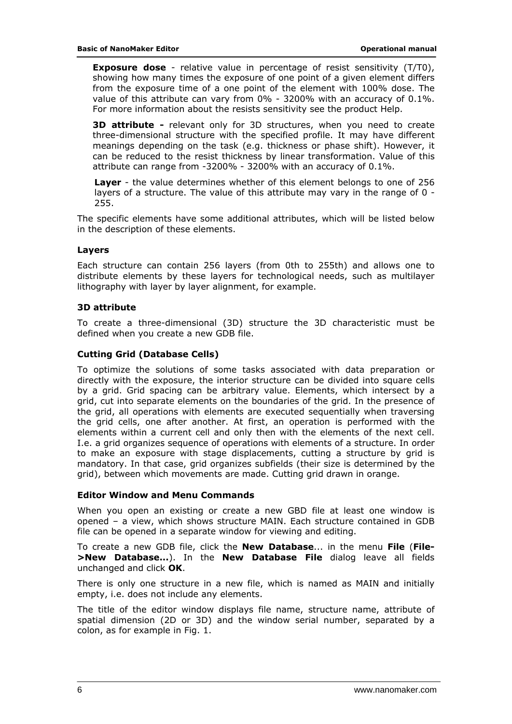<span id="page-5-0"></span>**Exposure dose** - relative value in percentage of resist sensitivity (T/T0), showing how many times the exposure of one point of a given element differs from the exposure time of a one point of the element with 100% dose. The value of this attribute can vary from 0% - 3200% with an accuracy of 0.1%. For more information about the resists sensitivity see the product Help.

**3D attribute -** relevant only for 3D structures, when you need to create three-dimensional structure with the specified profile. It may have different meanings depending on the task (e.g. thickness or phase shift). However, it can be reduced to the resist thickness by linear transformation. Value of this attribute can range from -3200% - 3200% with an accuracy of 0.1%.

**Layer** - the value determines whether of this element belongs to one of 256 layers of a structure. The value of this attribute may vary in the range of 0 - 255.

The specific elements have some additional attributes, which will be listed below in the description of these elements.

#### **Layers**

Each structure can contain 256 layers (from 0th to 255th) and allows one to distribute elements by these layers for technological needs, such as multilayer lithography with layer by layer alignment, for example.

#### **3D attribute**

To create a three-dimensional (3D) structure the 3D characteristic must be defined when you create a new GDB file.

#### **Cutting Grid (Database Cells)**

To optimize the solutions of some tasks associated with data preparation or directly with the exposure, the interior structure can be divided into square cells by a grid. Grid spacing can be arbitrary value. Elements, which intersect by a grid, cut into separate elements on the boundaries of the grid. In the presence of the grid, all operations with elements are executed sequentially when traversing the grid cells, one after another. At first, an operation is performed with the elements within a current cell and only then with the elements of the next cell. I.e. a grid organizes sequence of operations with elements of a structure. In order to make an exposure with stage displacements, cutting a structure by grid is mandatory. In that case, grid organizes subfields (their size is determined by the grid), between which movements are made. Cutting grid drawn in orange.

#### **Editor Window and Menu Commands**

When you open an existing or create a new GBD file at least one window is opened – a view, which shows structure MAIN. Each structure contained in GDB file can be opened in a separate window for viewing and editing.

To create a new GDB file, click the **New Database**... in the menu **File** (**File- >New Database...**). In the **New Database File** dialog leave all fields unchanged and click **OK**.

There is only one structure in a new file, which is named as MAIN and initially empty, i.e. does not include any elements.

The title of the editor window displays file name, structure name, attribute of spatial dimension (2D or 3D) and the window serial number, separated by a colon, as for example in Fig. 1.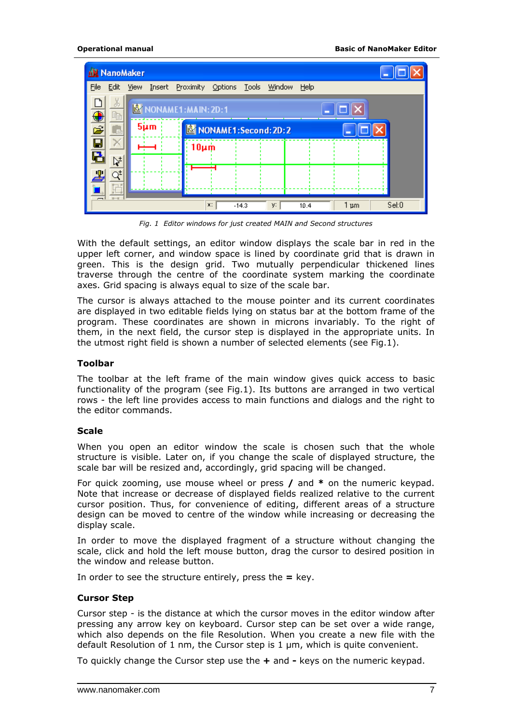<span id="page-6-0"></span>

| nN NanoMaker  |                    |                                            |         |    |      |              |  |
|---------------|--------------------|--------------------------------------------|---------|----|------|--------------|--|
| Eile<br>Edit  | <b>View</b>        | Insert Proximity Options Tools Window Help |         |    |      |              |  |
| ð<br>Þ        | NONAME1:MAIN: 2D:1 |                                            |         |    |      |              |  |
| $\frac{1}{2}$ | $5 \mu m$          | NONAME1:Second: 2D: 2                      |         |    |      |              |  |
|               |                    | $10 \mu m$                                 |         |    |      |              |  |
| Ą,            |                    |                                            |         |    |      |              |  |
| ገ‡            |                    |                                            |         |    |      |              |  |
|               |                    | x:                                         | $-14.3$ | y: | 10.4 | Set0<br>1 pm |  |

*Fig. 1 Editor windows for just created MAIN and Second structures* 

With the default settings, an editor window displays the scale bar in red in the upper left corner, and window space is lined by coordinate grid that is drawn in green. This is the design grid. Two mutually perpendicular thickened lines traverse through the centre of the coordinate system marking the coordinate axes. Grid spacing is always equal to size of the scale bar.

The cursor is always attached to the mouse pointer and its current coordinates are displayed in two editable fields lying on status bar at the bottom frame of the program. These coordinates are shown in microns invariably. To the right of them, in the next field, the cursor step is displayed in the appropriate units. In the utmost right field is shown a number of selected elements (see Fig.1).

#### **Toolbar**

The toolbar at the left frame of the main window gives quick access to basic functionality of the program (see Fig.1). Its buttons are arranged in two vertical rows - the left line provides access to main functions and dialogs and the right to the editor commands.

#### **Scale**

When you open an editor window the scale is chosen such that the whole structure is visible. Later on, if you change the scale of displayed structure, the scale bar will be resized and, accordingly, grid spacing will be changed.

For quick zooming, use mouse wheel or press **/** and **\*** on the numeric keypad. Note that increase or decrease of displayed fields realized relative to the current cursor position. Thus, for convenience of editing, different areas of a structure design can be moved to centre of the window while increasing or decreasing the display scale.

In order to move the displayed fragment of a structure without changing the scale, click and hold the left mouse button, drag the cursor to desired position in the window and release button.

In order to see the structure entirely, press the **=** key.

#### **Cursor Step**

Cursor step - is the distance at which the cursor moves in the editor window after pressing any arrow key on keyboard. Cursor step can be set over a wide range, which also depends on the file Resolution. When you create a new file with the default Resolution of 1 nm, the Cursor step is 1 μm, which is quite convenient.

To quickly change the Cursor step use the **+** and **-** keys on the numeric keypad.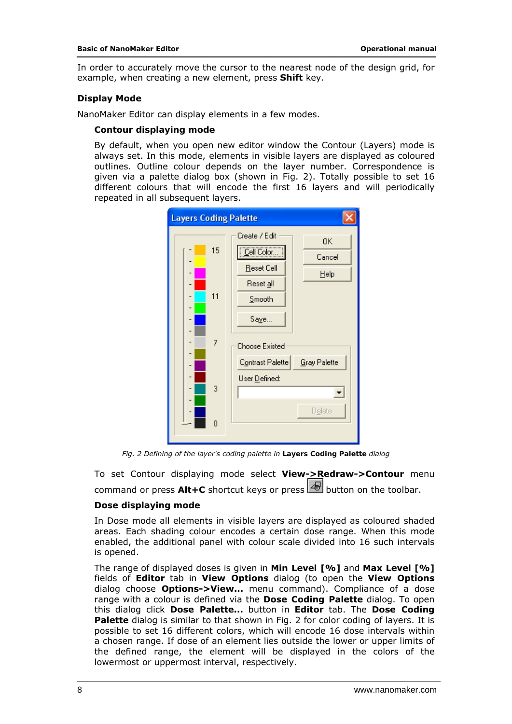<span id="page-7-0"></span>In order to accurately move the cursor to the nearest node of the design grid, for example, when creating a new element, press **Shift** key.

#### **Display Mode**

NanoMaker Editor can display elements in a few modes.

#### *Contour displaying mode*

By default, when you open new editor window the Contour (Layers) mode is always set. In this mode, elements in visible layers are displayed as coloured outlines. Outline colour depends on the layer number. Correspondence is given via a palette dialog box (shown in Fig. 2). Totally possible to set 16 different colours that will encode the first 16 layers and will periodically repeated in all subsequent layers.



*Fig. 2 Defining of the layer's coding palette in Layers Coding Palette dialog* 

To set Contour displaying mode select **View->Redraw->Contour** menu command or press  $\mathsf{Alt} + \mathsf{C}$  shortcut keys or press  $\mathsf{Set}$  button on the toolbar.

#### *Dose displaying mode*

In Dose mode all elements in visible layers are displayed as coloured shaded areas. Each shading colour encodes a certain dose range. When this mode enabled, the additional panel with colour scale divided into 16 such intervals is opened.

The range of displayed doses is given in **Min Level [%]** and **Max Level [%]** fields of **Editor** tab in **View Options** dialog (to open the **View Options** dialog choose **Options->View...** menu command). Compliance of a dose range with a colour is defined via the **Dose Coding Palette** dialog. To open this dialog click **Dose Palette...** button in **Editor** tab. The **Dose Coding Palette** dialog is similar to that shown in Fig. 2 for color coding of layers. It is possible to set 16 different colors, which will encode 16 dose intervals within a chosen range. If dose of an element lies outside the lower or upper limits of the defined range, the element will be displayed in the colors of the lowermost or uppermost interval, respectively.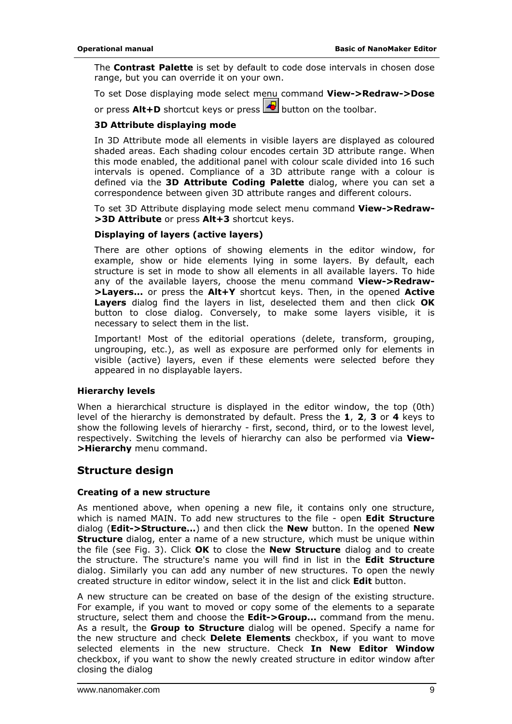<span id="page-8-0"></span>The **Contrast Palette** is set by default to code dose intervals in chosen dose range, but you can override it on your own.

To set Dose displaying mode select menu command **View->Redraw->Dose**

or press **Alt+D** shortcut keys or press **b** button on the toolbar.

#### *3D Attribute displaying mode*

In 3D Attribute mode all elements in visible layers are displayed as coloured shaded areas. Each shading colour encodes certain 3D attribute range. When this mode enabled, the additional panel with colour scale divided into 16 such intervals is opened. Compliance of a 3D attribute range with a colour is defined via the **3D Attribute Coding Palette** dialog, where you can set a correspondence between given 3D attribute ranges and different colours.

To set 3D Attribute displaying mode select menu command **View->Redraw- >3D Attribute** or press **Alt+3** shortcut keys.

#### **Displaying of layers (active layers)**

There are other options of showing elements in the editor window, for example, show or hide elements lying in some layers. By default, each structure is set in mode to show all elements in all available layers. To hide any of the available layers, choose the menu command **View->Redraw- >Layers...** or press the **Alt+Y** shortcut keys. Then, in the opened **Active Layers** dialog find the layers in list, deselected them and then click **OK** button to close dialog. Conversely, to make some layers visible, it is necessary to select them in the list.

Important! Most of the editorial operations (delete, transform, grouping, ungrouping, etc.), as well as exposure are performed only for elements in visible (active) layers, even if these elements were selected before they appeared in no displayable layers.

#### **Hierarchy levels**

When a hierarchical structure is displayed in the editor window, the top (0th) level of the hierarchy is demonstrated by default. Press the **1**, **2**, **3** or **4** keys to show the following levels of hierarchy - first, second, third, or to the lowest level, respectively. Switching the levels of hierarchy can also be performed via **View- >Hierarchy** menu command.

### **Structure design**

#### **Creating of a new structure**

As mentioned above, when opening a new file, it contains only one structure, which is named MAIN. To add new structures to the file - open **Edit Structure** dialog (**Edit->Structure...**) and then click the **New** button. In the opened **New Structure** dialog, enter a name of a new structure, which must be unique within the file (see Fig. 3). Click **OK** to close the **New Structure** dialog and to create the structure. The structure's name you will find in list in the **Edit Structure** dialog. Similarly you can add any number of new structures. To open the newly created structure in editor window, select it in the list and click **Edit** button.

A new structure can be created on base of the design of the existing structure. For example, if you want to moved or copy some of the elements to a separate structure, select them and choose the **Edit->Group...** command from the menu. As a result, the **Group to Structure** dialog will be opened. Specify a name for the new structure and check **Delete Elements** checkbox, if you want to move selected elements in the new structure. Check **In New Editor Window** checkbox, if you want to show the newly created structure in editor window after closing the dialog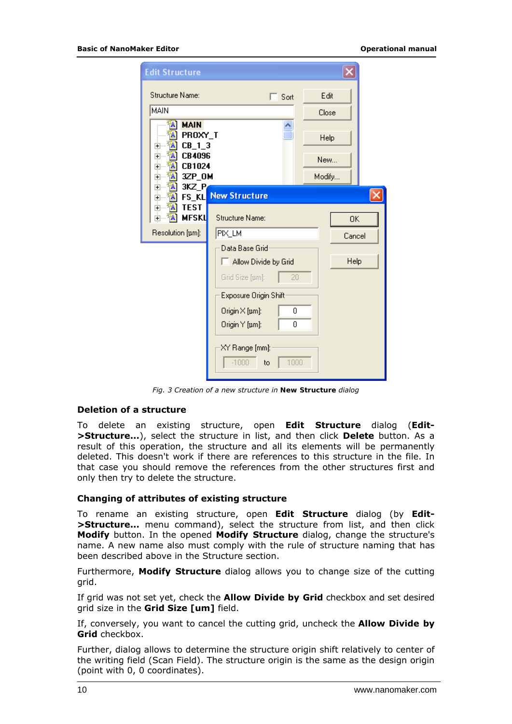<span id="page-9-0"></span>

| <b>Edit Structure</b>                                                                                                                                                    |                                                                                                 |                       |
|--------------------------------------------------------------------------------------------------------------------------------------------------------------------------|-------------------------------------------------------------------------------------------------|-----------------------|
| Structure Name:<br>MAIN                                                                                                                                                  | Sort<br>Г                                                                                       | Edit<br>Close         |
| <b>MAIN</b><br>A<br>PROXY_T<br>A<br>$CB_1_3$<br>$\overline{+}$<br><b>CB4096</b><br>A<br>$\overline{+}$<br>CB1024<br>A<br>$\overline{+}$<br>3ZP_OM<br>A<br>$\overline{+}$ |                                                                                                 | Help<br>New<br>Modify |
| A<br>3KZ P.<br>Ė<br><b>FS KL</b><br>A<br>Ė<br><b>TEST</b><br>A<br>$\overline{+}$<br><b>MFSKL</b><br>$\overline{+}$<br>Resolution [um]:                                   | <b>New Structure</b><br><b>Structure Name:</b><br>PIX_LM                                        | OΚ<br>Cancel          |
|                                                                                                                                                                          | Data Base Grid<br>Allow Divide by Grid<br>20<br>Grid Size [µm]:<br>Exposure Origin Shift        | Help                  |
|                                                                                                                                                                          | $O$ rigin $\times$ [µm]:<br>0<br>Origin Y [pm]:<br>0<br>XY Range [mm]:<br>$-1000$<br>1000<br>to |                       |

*Fig. 3 Creation of a new structure in New Structure dialog* 

#### **Deletion of a structure**

To delete an existing structure, open **Edit Structure** dialog (**Edit- >Structure...**), select the structure in list, and then click **Delete** button. As a result of this operation, the structure and all its elements will be permanently deleted. This doesn't work if there are references to this structure in the file. In that case you should remove the references from the other structures first and only then try to delete the structure.

#### **Changing of attributes of existing structure**

To rename an existing structure, open **Edit Structure** dialog (by **Edit- >Structure...** menu command), select the structure from list, and then click **Modify** button. In the opened **Modify Structure** dialog, change the structure's name. A new name also must comply with the rule of structure naming that has been described above in the Structure section.

Furthermore, **Modify Structure** dialog allows you to change size of the cutting grid.

If grid was not set yet, check the **Allow Divide by Grid** checkbox and set desired grid size in the **Grid Size [um]** field.

If, conversely, you want to cancel the cutting grid, uncheck the **Allow Divide by Grid** checkbox.

Further, dialog allows to determine the structure origin shift relatively to center of the writing field (Scan Field). The structure origin is the same as the design origin (point with 0, 0 coordinates).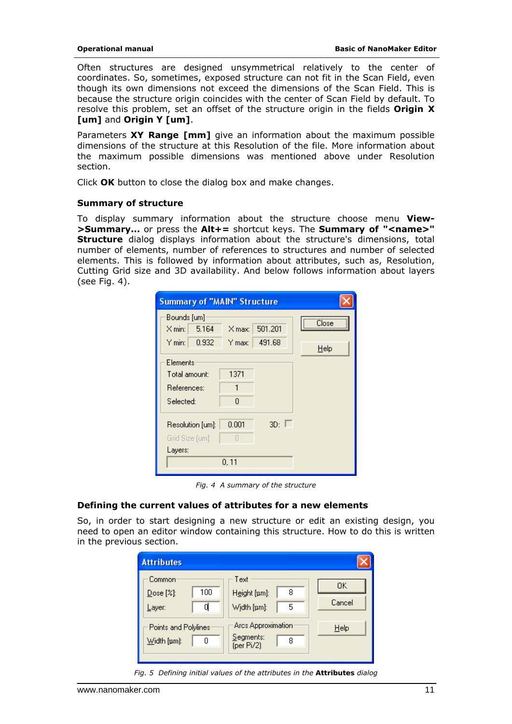<span id="page-10-0"></span>Often structures are designed unsymmetrical relatively to the center of coordinates. So, sometimes, exposed structure can not fit in the Scan Field, even though its own dimensions not exceed the dimensions of the Scan Field. This is because the structure origin coincides with the center of Scan Field by default. To resolve this problem, set an offset of the structure origin in the fields **Origin X [um]** and **Origin Y [um]**.

Parameters **XY Range [mm]** give an information about the maximum possible dimensions of the structure at this Resolution of the file. More information about the maximum possible dimensions was mentioned above under Resolution section.

Click **OK** button to close the dialog box and make changes.

#### **Summary of structure**

To display summary information about the structure choose menu **View- >Summary...** or press the **Alt+=** shortcut keys. The **Summary of "<name>" Structure** dialog displays information about the structure's dimensions, total number of elements, number of references to structures and number of selected elements. This is followed by information about attributes, such as, Resolution, Cutting Grid size and 3D availability. And below follows information about layers (see Fig. 4).

| <b>Summary of "MAIN" Structure</b> |          |            |       |  |  |  |  |
|------------------------------------|----------|------------|-------|--|--|--|--|
| Bounds [um]                        |          |            | Close |  |  |  |  |
| 5.164<br>$\times$ min:             | X max: I | 501.201    |       |  |  |  |  |
| 0.932<br>Y min:                    | Y max: I | 491.68     | Help  |  |  |  |  |
| Elements                           |          |            |       |  |  |  |  |
| Total amount:                      | 1371     |            |       |  |  |  |  |
| References:                        | 1        |            |       |  |  |  |  |
| Selected:                          | n        |            |       |  |  |  |  |
| Resolution [um]:                   | 0.001    | $3D: \Box$ |       |  |  |  |  |
| Grid Size [um]:                    | П        |            |       |  |  |  |  |
| Layers:                            |          |            |       |  |  |  |  |
|                                    | 0, 11    |            |       |  |  |  |  |

*Fig. 4 A summary of the structure* 

#### **Defining the current values of attributes for a new elements**

So, in order to start designing a new structure or edit an existing design, you need to open an editor window containing this structure. How to do this is written in the previous section.

| <b>Attributes</b>                   |          |                                                    |              |
|-------------------------------------|----------|----------------------------------------------------|--------------|
| Common<br>Dose [%]:<br>Layer:       | 100<br>α | Text<br>8<br>Height [um]:<br>5<br>Width [um]:      | 0K<br>Cancel |
| Points and Polylines<br>Width [um]: | n        | Arcs Approximation<br>Segments:<br>8<br>(per Pi/2) | Help         |

*Fig. 5 Defining initial values of the attributes in the Attributes dialog*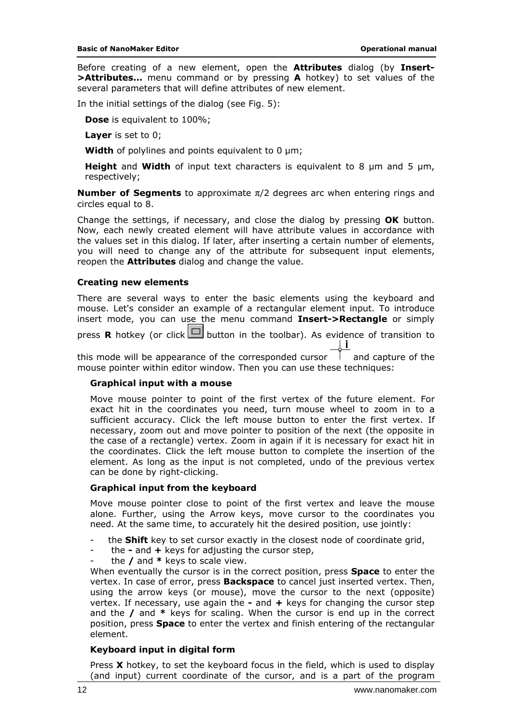<span id="page-11-0"></span>Before creating of a new element, open the **Attributes** dialog (by **Insert- >Attributes...** menu command or by pressing **A** hotkey) to set values of the several parameters that will define attributes of new element.

In the initial settings of the dialog (see Fig. 5):

**Dose** is equivalent to 100%;

**Layer** is set to 0;

**Width** of polylines and points equivalent to 0 μm;

**Height** and **Width** of input text characters is equivalent to 8 μm and 5 μm, respectively;

**Number of Segments** to approximate π/2 degrees arc when entering rings and circles equal to 8.

Change the settings, if necessary, and close the dialog by pressing **OK** button. Now, each newly created element will have attribute values in accordance with the values set in this dialog. If later, after inserting a certain number of elements, you will need to change any of the attribute for subsequent input elements, reopen the **Attributes** dialog and change the value.

#### **Creating new elements**

There are several ways to enter the basic elements using the keyboard and mouse. Let's consider an example of a rectangular element input. To introduce insert mode, you can use the menu command **Insert->Rectangle** or simply press **R** hotkey (or click  $\Box$  button in the toolbar). As evidence of transition to Ιi

this mode will be appearance of the corresponded cursor  $\parallel$  and capture of the mouse pointer within editor window. Then you can use these techniques:

#### *Graphical input with a mouse*

Move mouse pointer to point of the first vertex of the future element. For exact hit in the coordinates you need, turn mouse wheel to zoom in to a sufficient accuracy. Click the left mouse button to enter the first vertex. If necessary, zoom out and move pointer to position of the next (the opposite in the case of a rectangle) vertex. Zoom in again if it is necessary for exact hit in the coordinates. Click the left mouse button to complete the insertion of the element. As long as the input is not completed, undo of the previous vertex can be done by right-clicking.

#### *Graphical input from the keyboard*

Move mouse pointer close to point of the first vertex and leave the mouse alone. Further, using the Arrow keys, move cursor to the coordinates you need. At the same time, to accurately hit the desired position, use jointly:

- the **Shift** key to set cursor exactly in the closest node of coordinate grid,
- the **-** and **+** keys for adjusting the cursor step,
- the **/** and **\*** keys to scale view.

When eventually the cursor is in the correct position, press **Space** to enter the vertex. In case of error, press **Backspace** to cancel just inserted vertex. Then, using the arrow keys (or mouse), move the cursor to the next (opposite) vertex. If necessary, use again the **-** and **+** keys for changing the cursor step and the **/** and **\*** keys for scaling. When the cursor is end up in the correct position, press **Space** to enter the vertex and finish entering of the rectangular element.

#### *Keyboard input in digital form*

Press **X** hotkey, to set the keyboard focus in the field, which is used to display (and input) current coordinate of the cursor, and is a part of the program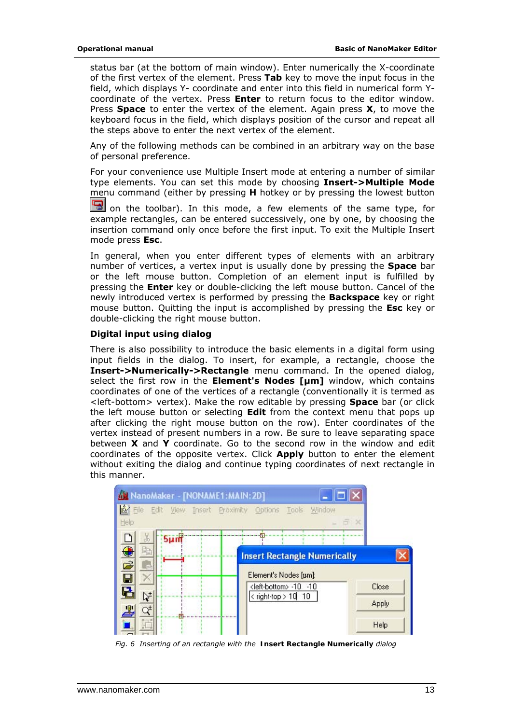status bar (at the bottom of main window). Enter numerically the X-coordinate of the first vertex of the element. Press **Tab** key to move the input focus in the field, which displays Y- coordinate and enter into this field in numerical form Ycoordinate of the vertex. Press **Enter** to return focus to the editor window. Press **Space** to enter the vertex of the element. Again press **X**, to move the keyboard focus in the field, which displays position of the cursor and repeat all the steps above to enter the next vertex of the element.

Any of the following methods can be combined in an arbitrary way on the base of personal preference.

For your convenience use Multiple Insert mode at entering a number of similar type elements. You can set this mode by choosing **Insert->Multiple Mode** menu command (either by pressing **H** hotkey or by pressing the lowest button

on the toolbar). In this mode, a few elements of the same type, for example rectangles, can be entered successively, one by one, by choosing the insertion command only once before the first input. To exit the Multiple Insert mode press **Esc**.

In general, when you enter different types of elements with an arbitrary number of vertices, a vertex input is usually done by pressing the **Space** bar or the left mouse button. Completion of an element input is fulfilled by pressing the **Enter** key or double-clicking the left mouse button. Cancel of the newly introduced vertex is performed by pressing the **Backspace** key or right mouse button. Quitting the input is accomplished by pressing the **Esc** key or double-clicking the right mouse button.

#### *Digital input using dialog*

There is also possibility to introduce the basic elements in a digital form using input fields in the dialog. To insert, for example, a rectangle, choose the **Insert->Numerically->Rectangle** menu command. In the opened dialog, select the first row in the **Element's Nodes [μm]** window, which contains coordinates of one of the vertices of a rectangle (conventionally it is termed as <left-bottom> vertex). Make the row editable by pressing **Space** bar (or click the left mouse button or selecting **Edit** from the context menu that pops up after clicking the right mouse button on the row). Enter coordinates of the vertex instead of present numbers in a row. Be sure to leave separating space between **X** and **Y** coordinate. Go to the second row in the window and edit coordinates of the opposite vertex. Click **Apply** button to enter the element without exiting the dialog and continue typing coordinates of next rectangle in this manner.



*Fig. 6 Inserting of an rectangle with the Insert Rectangle Numerically dialog*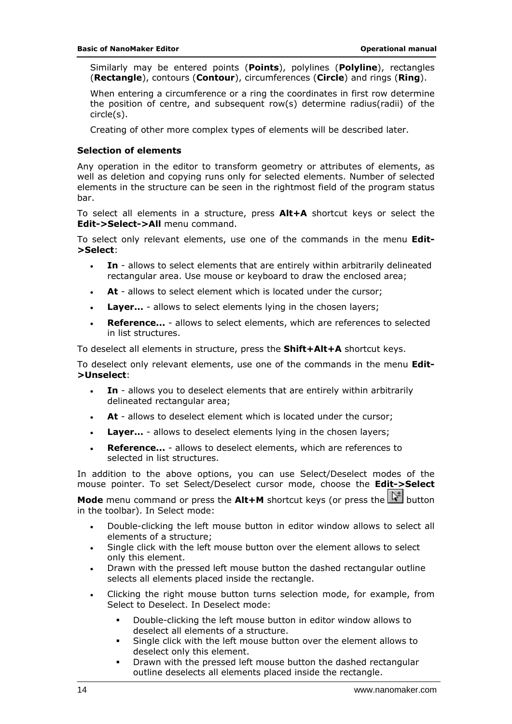<span id="page-13-0"></span>Similarly may be entered points (**Points**), polylines (**Polyline**), rectangles (**Rectangle**), contours (**Contour**), circumferences (**Circle**) and rings (**Ring**).

When entering a circumference or a ring the coordinates in first row determine the position of centre, and subsequent row(s) determine radius(radii) of the circle(s).

Creating of other more complex types of elements will be described later.

#### **Selection of elements**

Any operation in the editor to transform geometry or attributes of elements, as well as deletion and copying runs only for selected elements. Number of selected elements in the structure can be seen in the rightmost field of the program status bar.

To select all elements in a structure, press **Alt+A** shortcut keys or select the **Edit->Select->All** menu command.

To select only relevant elements, use one of the commands in the menu **Edit- >Select**:

- **In** allows to select elements that are entirely within arbitrarily delineated rectangular area. Use mouse or keyboard to draw the enclosed area;
- At allows to select element which is located under the cursor;
- **Layer...** allows to select elements lying in the chosen layers;
- **Reference...** allows to select elements, which are references to selected in list structures.

To deselect all elements in structure, press the **Shift+Alt+A** shortcut keys.

To deselect only relevant elements, use one of the commands in the menu **Edit- >Unselect**:

- **In** allows you to deselect elements that are entirely within arbitrarily delineated rectangular area;
- At allows to deselect element which is located under the cursor;
- **Layer...** allows to deselect elements lying in the chosen layers;
- **Reference...** allows to deselect elements, which are references to selected in list structures.

In addition to the above options, you can use Select/Deselect modes of the mouse pointer. To set Select/Deselect cursor mode, choose the **Edit->Select** 

**Mode** menu command or press the **Alt+M** shortcut keys (or press the  $\mathbb{R}^{\perp}$  button in the toolbar). In Select mode:

- Double-clicking the left mouse button in editor window allows to select all elements of a structure;
- Single click with the left mouse button over the element allows to select only this element.
- Drawn with the pressed left mouse button the dashed rectangular outline selects all elements placed inside the rectangle.
- Clicking the right mouse button turns selection mode, for example, from Select to Deselect. In Deselect mode:
	- Double-clicking the left mouse button in editor window allows to deselect all elements of a structure.
	- Single click with the left mouse button over the element allows to deselect only this element.
	- Drawn with the pressed left mouse button the dashed rectangular outline deselects all elements placed inside the rectangle.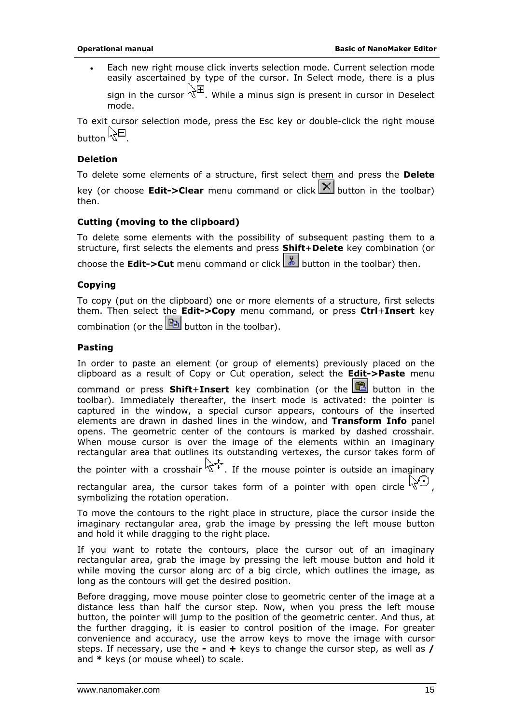<span id="page-14-0"></span>Each new right mouse click inverts selection mode. Current selection mode easily ascertained by type of the cursor. In Select mode, there is a plus sign in the cursor  $\sqrt{2}$ . While a minus sign is present in cursor in Deselect mode.

To exit cursor selection mode, press the Esc key or double-click the right mouse button  $\mathbb{R}^{\boxminus}$ 

#### **Deletion**

To delete some elements of a structure, first select them and press the **Delete**

key (or choose **Edit->Clear** menu command or click  $\mathbb{X}$  button in the toolbar) then.

#### **Cutting (moving to the clipboard)**

To delete some elements with the possibility of subsequent pasting them to a structure, first selects the elements and press **Shift**+**Delete** key combination (or

choose the **Edit->Cut** menu command or click  $\begin{bmatrix} \& \\ \& \end{bmatrix}$  button in the toolbar) then.

#### **Copying**

To copy (put on the clipboard) one or more elements of a structure, first selects them. Then select the **Edit->Copy** menu command, or press **Ctrl**+**Insert** key combination (or the  $\boxed{\mathbb{B}}$  button in the toolbar).

#### **Pasting**

In order to paste an element (or group of elements) previously placed on the clipboard as a result of Copy or Cut operation, select the **Edit->Paste** menu

command or press **Shift+Insert** key combination (or the **button** in the toolbar). Immediately thereafter, the insert mode is activated: the pointer is captured in the window, a special cursor appears, contours of the inserted elements are drawn in dashed lines in the window, and **Transform Info** panel opens. The geometric center of the contours is marked by dashed crosshair. When mouse cursor is over the image of the elements within an imaginary rectangular area that outlines its outstanding vertexes, the cursor takes form of

the pointer with a crosshair  $\sqrt{x^{t+1}}$ . If the mouse pointer is outside an imaginary

rectangular area, the cursor takes form of a pointer with open circle  $\mathbb{R}^6$ . symbolizing the rotation operation.

To move the contours to the right place in structure, place the cursor inside the imaginary rectangular area, grab the image by pressing the left mouse button and hold it while dragging to the right place.

If you want to rotate the contours, place the cursor out of an imaginary rectangular area, grab the image by pressing the left mouse button and hold it while moving the cursor along arc of a big circle, which outlines the image, as long as the contours will get the desired position.

Before dragging, move mouse pointer close to geometric center of the image at a distance less than half the cursor step. Now, when you press the left mouse button, the pointer will jump to the position of the geometric center. And thus, at the further dragging, it is easier to control position of the image. For greater convenience and accuracy, use the arrow keys to move the image with cursor steps. If necessary, use the **-** and **+** keys to change the cursor step, as well as **/** and **\*** keys (or mouse wheel) to scale.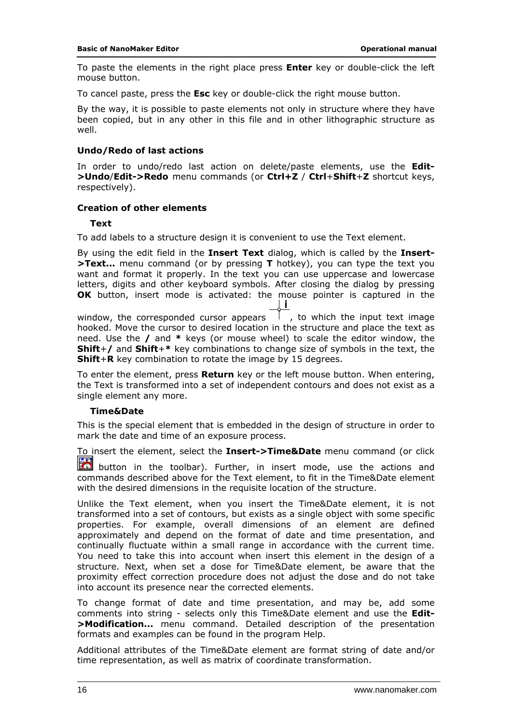<span id="page-15-0"></span>To paste the elements in the right place press **Enter** key or double-click the left mouse button.

To cancel paste, press the **Esc** key or double-click the right mouse button.

By the way, it is possible to paste elements not only in structure where they have been copied, but in any other in this file and in other lithographic structure as well.

#### **Undo/Redo of last actions**

In order to undo/redo last action on delete/paste elements, use the **Edit- >Undo**/**Edit->Redo** menu commands (or **Ctrl+Z** / **Ctrl**+**Shift**+**Z** shortcut keys, respectively).

#### **Creation of other elements**

#### *Text*

To add labels to a structure design it is convenient to use the Text element.

By using the edit field in the **Insert Text** dialog, which is called by the **Insert- >Text...** menu command (or by pressing **T** hotkey), you can type the text you want and format it properly. In the text you can use uppercase and lowercase letters, digits and other keyboard symbols. After closing the dialog by pressing **OK** button, insert mode is activated: the mouse pointer is captured in the l il

window, the corresponded cursor appears  $\begin{bmatrix} 1 \\ 1 \end{bmatrix}$ , to which the input text image hooked. Move the cursor to desired location in the structure and place the text as need. Use the **/** and **\*** keys (or mouse wheel) to scale the editor window, the **Shift**+**/** and **Shift**+**\*** key combinations to change size of symbols in the text, the **Shift**+**R** key combination to rotate the image by 15 degrees.

To enter the element, press **Return** key or the left mouse button. When entering, the Text is transformed into a set of independent contours and does not exist as a single element any more.

#### *Time&Date*

This is the special element that is embedded in the design of structure in order to mark the date and time of an exposure process.

To insert the element, select the **Insert->Time&Date** menu command (or click

 button in the toolbar). Further, in insert mode, use the actions and commands described above for the Text element, to fit in the Time&Date element with the desired dimensions in the requisite location of the structure.

Unlike the Text element, when you insert the Time&Date element, it is not transformed into a set of contours, but exists as a single object with some specific properties. For example, overall dimensions of an element are defined approximately and depend on the format of date and time presentation, and continually fluctuate within a small range in accordance with the current time. You need to take this into account when insert this element in the design of a structure. Next, when set a dose for Time&Date element, be aware that the proximity effect correction procedure does not adjust the dose and do not take into account its presence near the corrected elements.

To change format of date and time presentation, and may be, add some comments into string - selects only this Time&Date element and use the **Edit- >Modification...** menu command. Detailed description of the presentation formats and examples can be found in the program Help.

Additional attributes of the Time&Date element are format string of date and/or time representation, as well as matrix of coordinate transformation.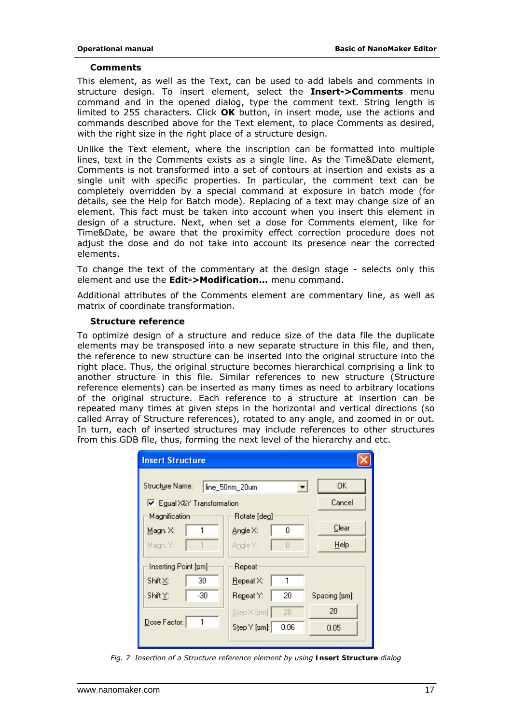#### *Comments*

This element, as well as the Text, can be used to add labels and comments in structure design. To insert element, select the **Insert->Comments** menu command and in the opened dialog, type the comment text. String length is limited to 255 characters. Click **OK** button, in insert mode, use the actions and commands described above for the Text element, to place Comments as desired, with the right size in the right place of a structure design.

Unlike the Text element, where the inscription can be formatted into multiple lines, text in the Comments exists as a single line. As the Time&Date element, Comments is not transformed into a set of contours at insertion and exists as a single unit with specific properties. In particular, the comment text can be completely overridden by a special command at exposure in batch mode (for details, see the Help for Batch mode). Replacing of a text may change size of an element. This fact must be taken into account when you insert this element in design of a structure. Next, when set a dose for Comments element, like for Time&Date, be aware that the proximity effect correction procedure does not adjust the dose and do not take into account its presence near the corrected elements.

To change the text of the commentary at the design stage - selects only this element and use the **Edit->Modification...** menu command.

Additional attributes of the Comments element are commentary line, as well as matrix of coordinate transformation.

#### *Structure reference*

To optimize design of a structure and reduce size of the data file the duplicate elements may be transposed into a new separate structure in this file, and then, the reference to new structure can be inserted into the original structure into the right place. Thus, the original structure becomes hierarchical comprising a link to another structure in this file. Similar references to new structure (Structure reference elements) can be inserted as many times as need to arbitrary locations of the original structure. Each reference to a structure at insertion can be repeated many times at given steps in the horizontal and vertical directions (so called Array of Structure references), rotated to any angle, and zoomed in or out. In turn, each of inserted structures may include references to other structures from this GDB file, thus, forming the next level of the hierarchy and etc.

| <b>Insert Structure</b>    |                            |               |  |  |  |  |
|----------------------------|----------------------------|---------------|--|--|--|--|
| Structure Name:            | line_50nm_20um             | OK.           |  |  |  |  |
| Ⅳ Egual X&Y Transformation |                            | Cancel        |  |  |  |  |
| Magnification              | Rotate [deg]               |               |  |  |  |  |
| 1<br>Magn. X:              | 0<br>Angle X:              | Clear         |  |  |  |  |
| Magn. Y:                   | Angle Y:<br>Л              | $He$ lp       |  |  |  |  |
| Inserting Point [um]       | Repeat                     |               |  |  |  |  |
| Shift⊠:<br>30              | $\mathsf{Repeat} \times$   |               |  |  |  |  |
| Shift Y:<br>$-30$          | 20<br>Regeat Y:            | Spacing [um]: |  |  |  |  |
|                            | 20<br>$Step \times [µm]$ : | 20            |  |  |  |  |
| Dose Factor:               | Step Y [pm]:<br>0.06       | 0.05          |  |  |  |  |
|                            |                            |               |  |  |  |  |

*Fig. 7 Insertion of a Structure reference element by using Insert Structure dialog*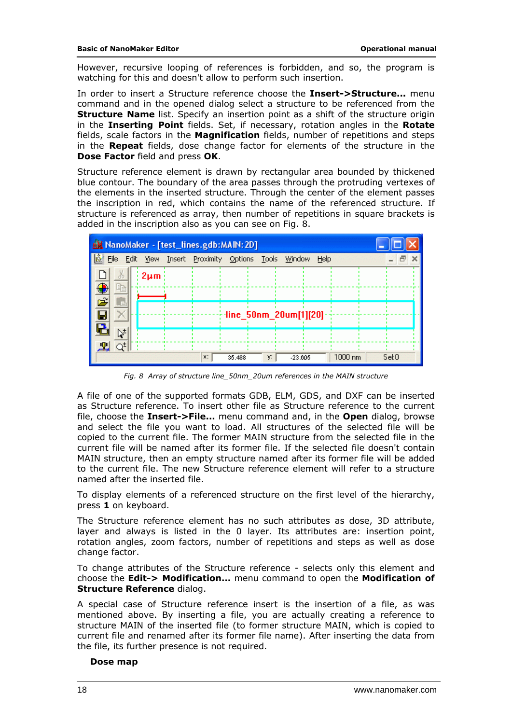However, recursive looping of references is forbidden, and so, the program is watching for this and doesn't allow to perform such insertion.

In order to insert a Structure reference choose the **Insert->Structure...** menu command and in the opened dialog select a structure to be referenced from the **Structure Name** list. Specify an insertion point as a shift of the structure origin in the **Inserting Point** fields. Set, if necessary, rotation angles in the **Rotate** fields, scale factors in the **Magnification** fields, number of repetitions and steps in the **Repeat** fields, dose change factor for elements of the structure in the **Dose Factor** field and press **OK**.

Structure reference element is drawn by rectangular area bounded by thickened blue contour. The boundary of the area passes through the protruding vertexes of the elements in the inserted structure. Through the center of the element passes the inscription in red, which contains the name of the referenced structure. If structure is referenced as array, then number of repetitions in square brackets is added in the inscription also as you can see on Fig. 8.

| M NanoMaker - [test_lines.gdb:MAIN:2D] |              |                                |        |    |                                       |      |                   |       |
|----------------------------------------|--------------|--------------------------------|--------|----|---------------------------------------|------|-------------------|-------|
| File                                   | Edit<br>View | Insert Proximity Options Tools |        |    | Window                                | Help |                   |       |
|                                        | $2 \mu m$    |                                |        |    |                                       |      |                   |       |
| 睁                                      |              |                                |        |    |                                       |      |                   |       |
|                                        |              |                                |        |    | $\cdot$ line_50nm_20um[1][20] $\cdot$ |      |                   |       |
| ⊭                                      |              |                                |        |    |                                       |      |                   |       |
|                                        |              |                                |        |    |                                       |      |                   |       |
|                                        |              | x:                             | 35.488 | y: | $-23.605$                             |      | $1000 \text{ nm}$ | Set 0 |

*Fig. 8 Array of structure line\_50nm\_20um references in the MAIN structure* 

A file of one of the supported formats GDB, ELM, GDS, and DXF can be inserted as Structure reference. To insert other file as Structure reference to the current file, choose the **Insert->File...** menu command and, in the **Open** dialog, browse and select the file you want to load. All structures of the selected file will be copied to the current file. The former MAIN structure from the selected file in the current file will be named after its former file. If the selected file doesn't contain MAIN structure, then an empty structure named after its former file will be added to the current file. The new Structure reference element will refer to a structure named after the inserted file.

To display elements of a referenced structure on the first level of the hierarchy, press **1** on keyboard.

The Structure reference element has no such attributes as dose, 3D attribute, layer and always is listed in the 0 layer. Its attributes are: insertion point, rotation angles, zoom factors, number of repetitions and steps as well as dose change factor.

To change attributes of the Structure reference - selects only this element and choose the **Edit-> Modification...** menu command to open the **Modification of Structure Reference** dialog.

A special case of Structure reference insert is the insertion of a file, as was mentioned above. By inserting a file, you are actually creating a reference to structure MAIN of the inserted file (to former structure MAIN, which is copied to current file and renamed after its former file name). After inserting the data from the file, its further presence is not required.

#### *Dose map*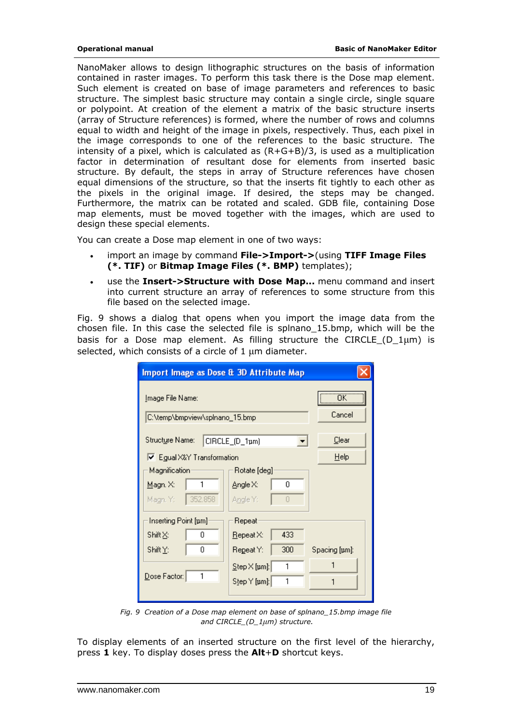NanoMaker allows to design lithographic structures on the basis of information contained in raster images. To perform this task there is the Dose map element. Such element is created on base of image parameters and references to basic structure. The simplest basic structure may contain a single circle, single square or polypoint. At creation of the element a matrix of the basic structure inserts (array of Structure references) is formed, where the number of rows and columns equal to width and height of the image in pixels, respectively. Thus, each pixel in the image corresponds to one of the references to the basic structure. The intensity of a pixel, which is calculated as  $(R+G+B)/3$ , is used as a multiplication factor in determination of resultant dose for elements from inserted basic structure. By default, the steps in array of Structure references have chosen equal dimensions of the structure, so that the inserts fit tightly to each other as the pixels in the original image. If desired, the steps may be changed. Furthermore, the matrix can be rotated and scaled. GDB file, containing Dose map elements, must be moved together with the images, which are used to design these special elements.

You can create a Dose map element in one of two ways:

- import an image by command **File->Import->**(using **TIFF Image Files (\*. TIF)** or **Bitmap Image Files (\*. BMP)** templates);
- use the **Insert->Structure with Dose Map...** menu command and insert into current structure an array of references to some structure from this file based on the selected image.

Fig. 9 shows a dialog that opens when you import the image data from the chosen file. In this case the selected file is splnano\_15.bmp, which will be the basis for a Dose map element. As filling structure the CIRCLE (D  $1µm$ ) is selected, which consists of a circle of 1 μm diameter.

| Import Image as Dose & 3D Attribute Map                    |                                      |               |  |  |  |  |  |
|------------------------------------------------------------|--------------------------------------|---------------|--|--|--|--|--|
| <u>I</u> mage File Name:<br>C:\temp\bmpview\splnano_15.bmp | Cancel                               |               |  |  |  |  |  |
| Structure Name:                                            | CIRCLE_(D_1µm)<br>▼                  | Clear         |  |  |  |  |  |
| □ Egual X&Y Transformation                                 |                                      | Help          |  |  |  |  |  |
| Magnification                                              | Rotate [deg]                         |               |  |  |  |  |  |
| 1<br>Magn. X:                                              | Angle X:<br>n                        |               |  |  |  |  |  |
| 352.858<br>Magn. Y:                                        | Angle Y:<br>$\Box$                   |               |  |  |  |  |  |
| Inserting Point [pm]                                       | Repeat                               |               |  |  |  |  |  |
| Shift∑:<br>0                                               | 433<br>$\mathbf{Re}$ peat $\times$ : |               |  |  |  |  |  |
| Shift Y:<br>0                                              | 300<br>Regeat Y:                     | Spacing [µm]: |  |  |  |  |  |
|                                                            | 1<br>$Step \times [nm]$ :            |               |  |  |  |  |  |
| Dose Factor:                                               | 1<br>Step Y [pm]:                    |               |  |  |  |  |  |
|                                                            |                                      |               |  |  |  |  |  |

*Fig. 9 Creation of a Dose map element on base of splnano\_15.bmp image file and CIRCLE\_(D\_1μm) structure.* 

To display elements of an inserted structure on the first level of the hierarchy, press **1** key. To display doses press the **Alt**+**D** shortcut keys.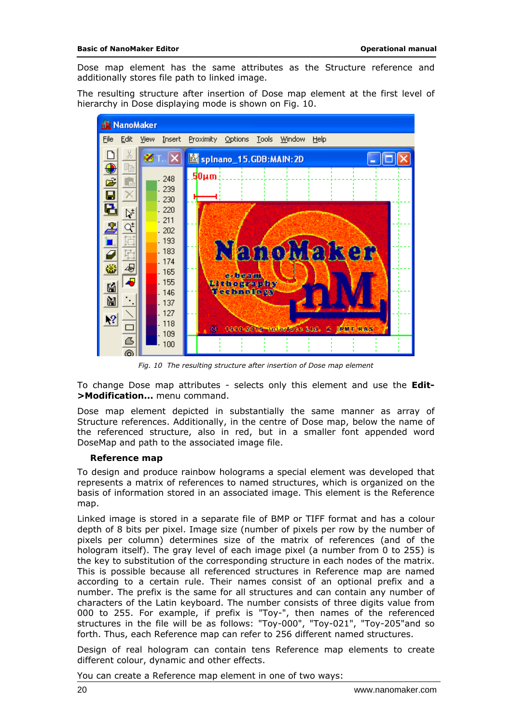Dose map element has the same attributes as the Structure reference and additionally stores file path to linked image.

The resulting structure after insertion of Dose map element at the first level of hierarchy in Dose displaying mode is shown on Fig. 10.



*Fig. 10 The resulting structure after insertion of Dose map element* 

To change Dose map attributes - selects only this element and use the **Edit- >Modification...** menu command.

Dose map element depicted in substantially the same manner as array of Structure references. Additionally, in the centre of Dose map, below the name of the referenced structure, also in red, but in a smaller font appended word DoseMap and path to the associated image file.

#### *Reference map*

To design and produce rainbow holograms a special element was developed that represents a matrix of references to named structures, which is organized on the basis of information stored in an associated image. This element is the Reference map.

Linked image is stored in a separate file of BMP or TIFF format and has a colour depth of 8 bits per pixel. Image size (number of pixels per row by the number of pixels per column) determines size of the matrix of references (and of the hologram itself). The gray level of each image pixel (a number from 0 to 255) is the key to substitution of the corresponding structure in each nodes of the matrix. This is possible because all referenced structures in Reference map are named according to a certain rule. Their names consist of an optional prefix and a number. The prefix is the same for all structures and can contain any number of characters of the Latin keyboard. The number consists of three digits value from 000 to 255. For example, if prefix is "Toy-", then names of the referenced structures in the file will be as follows: "Toy-000", "Toy-021", "Toy-205"and so forth. Thus, each Reference map can refer to 256 different named structures.

Design of real hologram can contain tens Reference map elements to create different colour, dynamic and other effects.

You can create a Reference map element in one of two ways: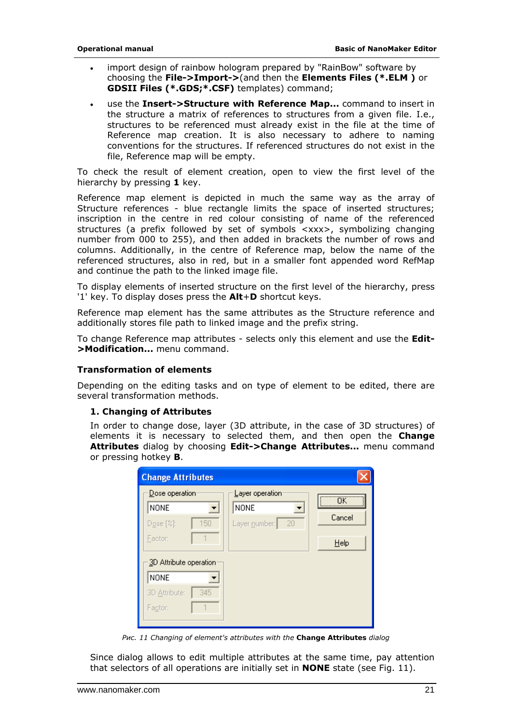- <span id="page-20-0"></span>• import design of rainbow hologram prepared by "RainBow" software by choosing the **File->Import->**(and then the **Elements Files (\*.ELM )** or **GDSII Files (\*.GDS;\*.CSF)** templates) command;
- use the **Insert->Structure with Reference Map...** command to insert in the structure a matrix of references to structures from a given file. I.e., structures to be referenced must already exist in the file at the time of Reference map creation. It is also necessary to adhere to naming conventions for the structures. If referenced structures do not exist in the file, Reference map will be empty.

To check the result of element creation, open to view the first level of the hierarchy by pressing **1** key.

Reference map element is depicted in much the same way as the array of Structure references - blue rectangle limits the space of inserted structures; inscription in the centre in red colour consisting of name of the referenced structures (a prefix followed by set of symbols <xxx>, symbolizing changing number from 000 to 255), and then added in brackets the number of rows and columns. Additionally, in the centre of Reference map, below the name of the referenced structures, also in red, but in a smaller font appended word RefMap and continue the path to the linked image file.

To display elements of inserted structure on the first level of the hierarchy, press '1' key. To display doses press the **Alt**+**D** shortcut keys.

Reference map element has the same attributes as the Structure reference and additionally stores file path to linked image and the prefix string.

To change Reference map attributes - selects only this element and use the **Edit- >Modification...** menu command.

#### **Transformation of elements**

Depending on the editing tasks and on type of element to be edited, there are several transformation methods.

#### *1. Changing of Attributes*

In order to change dose, layer (3D attribute, in the case of 3D structures) of elements it is necessary to selected them, and then open the **Change Attributes** dialog by choosing **Edit->Change Attributes...** menu command or pressing hotkey **B**.

| <b>Change Attributes</b>                          |                                                       |              |
|---------------------------------------------------|-------------------------------------------------------|--------------|
| Dose operation<br><b>NONE</b><br>Dose [2]:<br>150 | Layer operation<br><b>NONE</b><br>20<br>Layer number: | ΠK<br>Cancel |
| Factor:<br>3D Attribute operation                 |                                                       | Help         |
| <b>NONE</b>                                       |                                                       |              |
| 3D Attribute:<br>345<br>Factor:                   |                                                       |              |

*Рис. 11 Changing of element's attributes with the Change Attributes dialog* 

Since dialog allows to edit multiple attributes at the same time, pay attention that selectors of all operations are initially set in **NONE** state (see Fig. 11).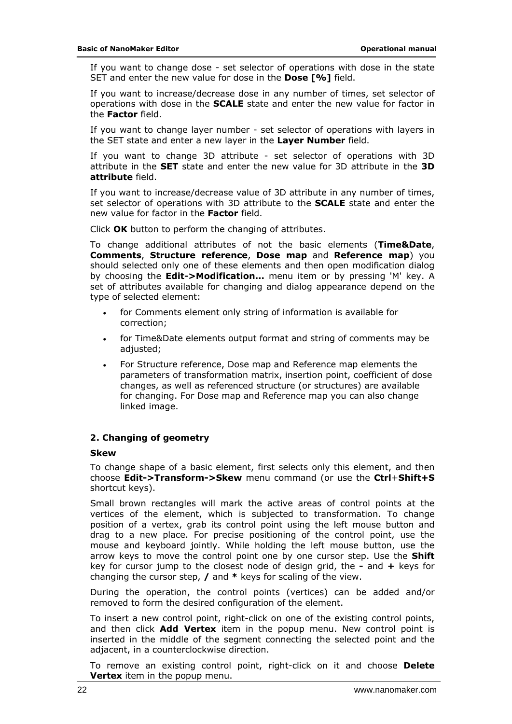If you want to change dose - set selector of operations with dose in the state SET and enter the new value for dose in the **Dose [%]** field.

If you want to increase/decrease dose in any number of times, set selector of operations with dose in the **SCALE** state and enter the new value for factor in the **Factor** field.

If you want to change layer number - set selector of operations with layers in the SET state and enter a new layer in the **Layer Number** field.

If you want to change 3D attribute - set selector of operations with 3D attribute in the **SET** state and enter the new value for 3D attribute in the **3D attribute** field.

If you want to increase/decrease value of 3D attribute in any number of times, set selector of operations with 3D attribute to the **SCALE** state and enter the new value for factor in the **Factor** field.

Click **OK** button to perform the changing of attributes.

To change additional attributes of not the basic elements (**Time&Date**, **Comments**, **Structure reference**, **Dose map** and **Reference map**) you should selected only one of these elements and then open modification dialog by choosing the **Edit->Modification...** menu item or by pressing 'M' key. A set of attributes available for changing and dialog appearance depend on the type of selected element:

- for Comments element only string of information is available for correction;
- for Time&Date elements output format and string of comments may be adjusted;
- For Structure reference, Dose map and Reference map elements the parameters of transformation matrix, insertion point, coefficient of dose changes, as well as referenced structure (or structures) are available for changing. For Dose map and Reference map you can also change linked image.

#### *2. Changing of geometry*

#### **Skew**

To change shape of a basic element, first selects only this element, and then choose **Edit->Transform->Skew** menu command (or use the **Ctrl**+**Shift+S** shortcut keys).

Small brown rectangles will mark the active areas of control points at the vertices of the element, which is subjected to transformation. To change position of a vertex, grab its control point using the left mouse button and drag to a new place. For precise positioning of the control point, use the mouse and keyboard jointly. While holding the left mouse button, use the arrow keys to move the control point one by one cursor step. Use the **Shift** key for cursor jump to the closest node of design grid, the **-** and **+** keys for changing the cursor step, **/** and **\*** keys for scaling of the view.

During the operation, the control points (vertices) can be added and/or removed to form the desired configuration of the element.

To insert a new control point, right-click on one of the existing control points, and then click **Add Vertex** item in the popup menu. New control point is inserted in the middle of the segment connecting the selected point and the adjacent, in a counterclockwise direction.

To remove an existing control point, right-click on it and choose **Delete Vertex** item in the popup menu.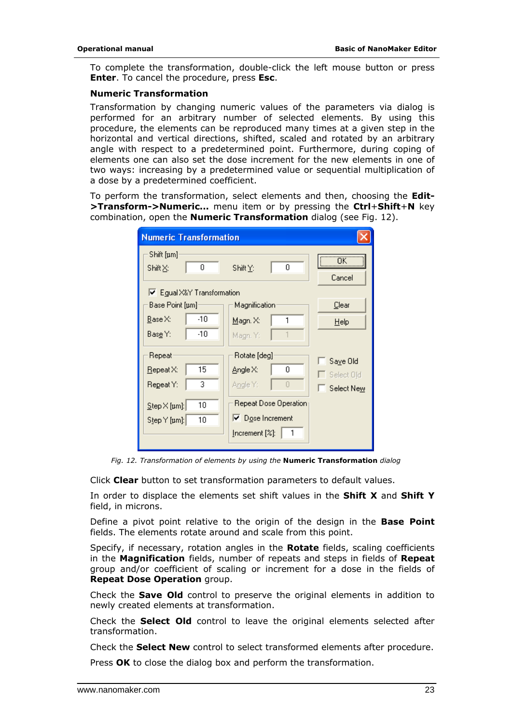To complete the transformation, double-click the left mouse button or press **Enter**. To cancel the procedure, press **Esc**.

#### **Numeric Transformation**

Transformation by changing numeric values of the parameters via dialog is performed for an arbitrary number of selected elements. By using this procedure, the elements can be reproduced many times at a given step in the horizontal and vertical directions, shifted, scaled and rotated by an arbitrary angle with respect to a predetermined point. Furthermore, during coping of elements one can also set the dose increment for the new elements in one of two ways: increasing by a predetermined value or sequential multiplication of a dose by a predetermined coefficient.

To perform the transformation, select elements and then, choosing the **Edit- >Transform->Numeric...** menu item or by pressing the **Ctrl**+**Shift**+**N** key combination, open the **Numeric Transformation** dialog (see Fig. 12).

| <b>Numeric Transformation</b>                                                                  |                                                                                                                       |                                      |
|------------------------------------------------------------------------------------------------|-----------------------------------------------------------------------------------------------------------------------|--------------------------------------|
| Shift [pm]<br>0<br>Shift <u>⊠</u> :<br>Ⅳ Egual X&Y Transformation                              | 0<br>Shift $Y$ :                                                                                                      | $\overline{\mathsf{OK}}$<br>Cancel   |
| Base Point [pm]<br>-10<br>Base X:<br>$-10$<br>Base Y:                                          | Magnification<br>Magn. X:<br>Magn. Y:                                                                                 | Clear<br>Help                        |
| Repeat<br>15<br>Repeat X:<br>3<br>Repeat Y:<br>10<br>$Step \times [µm]:$<br>Step Y [pm]:<br>10 | Rotate [deg]<br>Angle X:<br>0.<br>Angle Y:<br>Ū<br>Repeat Dose Operation<br>$\nabla$ Dose Increment<br>Increment [%]: | Saye Old<br>Select Old<br>Select New |

*Fig. 12. Transformation of elements by using the Numeric Transformation dialog*

Click **Clear** button to set transformation parameters to default values.

In order to displace the elements set shift values in the **Shift X** and **Shift Y** field, in microns.

Define a pivot point relative to the origin of the design in the **Base Point** fields. The elements rotate around and scale from this point.

Specify, if necessary, rotation angles in the **Rotate** fields, scaling coefficients in the **Magnification** fields, number of repeats and steps in fields of **Repeat**  group and/or coefficient of scaling or increment for a dose in the fields of **Repeat Dose Operation** group.

Check the **Save Old** control to preserve the original elements in addition to newly created elements at transformation.

Check the **Select Old** control to leave the original elements selected after transformation.

Check the **Select New** control to select transformed elements after procedure.

Press **OK** to close the dialog box and perform the transformation.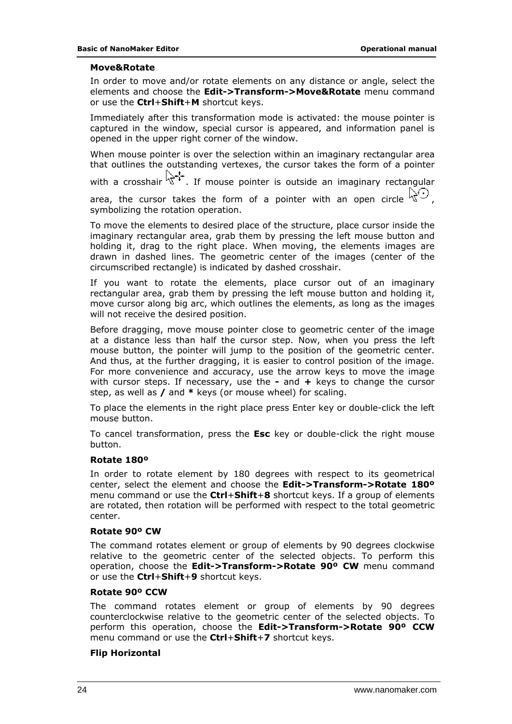#### **Move&Rotate**

In order to move and/or rotate elements on any distance or angle, select the elements and choose the **Edit->Transform->Move&Rotate** menu command or use the **Ctrl**+**Shift**+**M** shortcut keys.

Immediately after this transformation mode is activated: the mouse pointer is captured in the window, special cursor is appeared, and information panel is opened in the upper right corner of the window.

When mouse pointer is over the selection within an imaginary rectangular area that outlines the outstanding vertexes, the cursor takes the form of a pointer

with a crosshair  $\sum_{i=1}^{n}$ . If mouse pointer is outside an imaginary rectangular

area, the cursor takes the form of a pointer with an open circle  $\mathbb{R}^{\mathcal{L}}$ . symbolizing the rotation operation.

To move the elements to desired place of the structure, place cursor inside the imaginary rectangular area, grab them by pressing the left mouse button and holding it, drag to the right place. When moving, the elements images are drawn in dashed lines. The geometric center of the images (center of the circumscribed rectangle) is indicated by dashed crosshair.

If you want to rotate the elements, place cursor out of an imaginary rectangular area, grab them by pressing the left mouse button and holding it, move cursor along big arc, which outlines the elements, as long as the images will not receive the desired position.

Before dragging, move mouse pointer close to geometric center of the image at a distance less than half the cursor step. Now, when you press the left mouse button, the pointer will jump to the position of the geometric center. And thus, at the further dragging, it is easier to control position of the image. For more convenience and accuracy, use the arrow keys to move the image with cursor steps. If necessary, use the **-** and **+** keys to change the cursor step, as well as **/** and **\*** keys (or mouse wheel) for scaling.

To place the elements in the right place press Enter key or double-click the left mouse button.

To cancel transformation, press the **Esc** key or double-click the right mouse button.

#### **Rotate 180º**

In order to rotate element by 180 degrees with respect to its geometrical center, select the element and choose the **Edit->Transform->Rotate 180º** menu command or use the **Ctrl**+**Shift**+**8** shortcut keys. If a group of elements are rotated, then rotation will be performed with respect to the total geometric center.

#### **Rotate 90º CW**

The command rotates element or group of elements by 90 degrees clockwise relative to the geometric center of the selected objects. To perform this operation, choose the **Edit->Transform->Rotate 90º CW** menu command or use the **Ctrl**+**Shift**+**9** shortcut keys.

#### **Rotate 90º CCW**

The command rotates element or group of elements by 90 degrees counterclockwise relative to the geometric center of the selected objects. To perform this operation, choose the **Edit->Transform->Rotate 90º CCW** menu command or use the **Ctrl**+**Shift**+**7** shortcut keys.

#### **Flip Horizontal**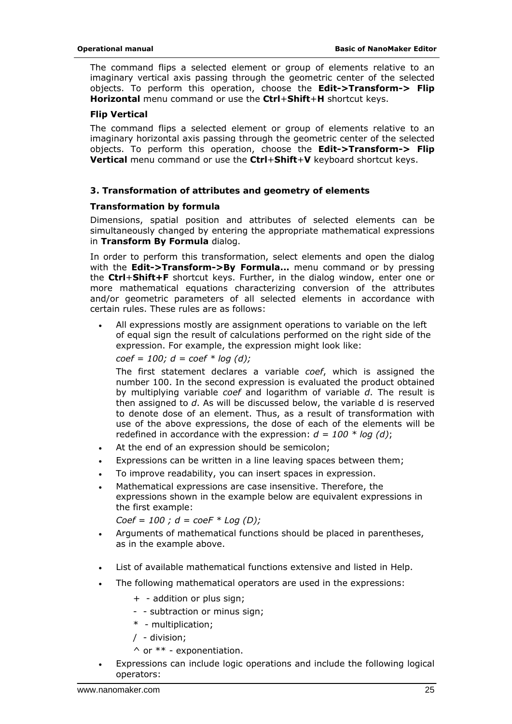The command flips a selected element or group of elements relative to an imaginary vertical axis passing through the geometric center of the selected objects. To perform this operation, choose the **Edit->Transform-> Flip Horizontal** menu command or use the **Ctrl**+**Shift**+**H** shortcut keys.

#### **Flip Vertical**

The command flips a selected element or group of elements relative to an imaginary horizontal axis passing through the geometric center of the selected objects. To perform this operation, choose the **Edit->Transform-> Flip Vertical** menu command or use the **Ctrl**+**Shift**+**V** keyboard shortcut keys.

#### *3. Transformation of attributes and geometry of elements*

#### *Transformation by formula*

Dimensions, spatial position and attributes of selected elements can be simultaneously changed by entering the appropriate mathematical expressions in **Transform By Formula** dialog.

In order to perform this transformation, select elements and open the dialog with the **Edit->Transform->By Formula...** menu command or by pressing the **Ctrl**+**Shift+F** shortcut keys. Further, in the dialog window, enter one or more mathematical equations characterizing conversion of the attributes and/or geometric parameters of all selected elements in accordance with certain rules. These rules are as follows:

All expressions mostly are assignment operations to variable on the left of equal sign the result of calculations performed on the right side of the expression. For example, the expression might look like:

*coef = 100; d = coef \* log (d);* 

The first statement declares a variable *coef*, which is assigned the number 100. In the second expression is evaluated the product obtained by multiplying variable *coef* and logarithm of variable *d*. The result is then assigned to *d*. As will be discussed below, the variable d is reserved to denote dose of an element. Thus, as a result of transformation with use of the above expressions, the dose of each of the elements will be redefined in accordance with the expression:  $d = 100 * log (d)$ ;

- At the end of an expression should be semicolon;
- Expressions can be written in a line leaving spaces between them;
- To improve readability, you can insert spaces in expression.
- Mathematical expressions are case insensitive. Therefore, the expressions shown in the example below are equivalent expressions in the first example:

*Coef = 100 ; d = coeF \* Log (D);* 

- Arguments of mathematical functions should be placed in parentheses, as in the example above.
- List of available mathematical functions extensive and listed in Help.
- The following mathematical operators are used in the expressions:
	- + addition or plus sign;
	- - subtraction or minus sign;
	- \* multiplication;
	- / division;
	- $\wedge$  or  $**$  exponentiation.
- Expressions can include logic operations and include the following logical operators: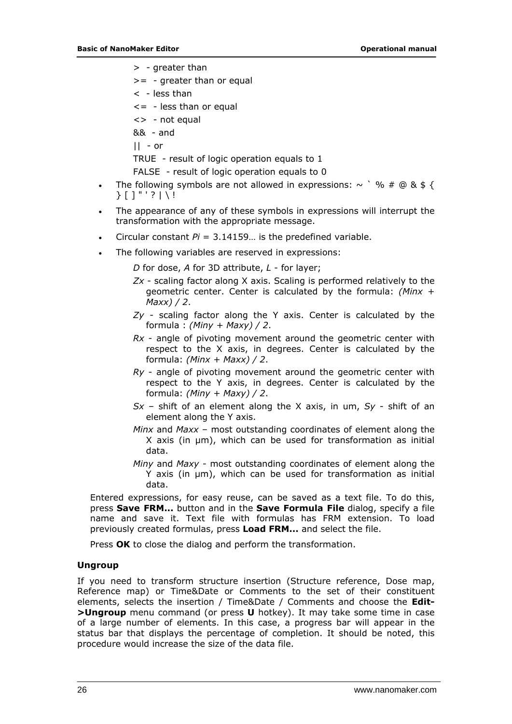- <span id="page-25-0"></span>> - greater than
- $>= -$  greater than or equal
- $\langle$  less than
- $\leq$  less than or equal
- <> not equal
- && and

 $|| -$  or

TRUE - result of logic operation equals to 1

FALSE - result of logic operation equals to 0

- The following symbols are not allowed in expressions:  $\sim$   $\degree$  % # @ & \$ {  ${}$ } [ ] "' ' ? | \ !
- The appearance of any of these symbols in expressions will interrupt the transformation with the appropriate message.
- Circular constant *Pi* = 3.14159… is the predefined variable.
- The following variables are reserved in expressions:

*D* for dose, *A* for 3D attribute, *L* - for layer;

- *Zx* scaling factor along X axis. Scaling is performed relatively to the geometric center. Center is calculated by the formula: *(Minx + Maxx) / 2*.
- *Zy* scaling factor along the Y axis. Center is calculated by the formula : *(Miny + Maxy) / 2*.
- *Rx* angle of pivoting movement around the geometric center with respect to the X axis, in degrees. Center is calculated by the formula: *(Minx + Maxx) / 2*.
- *Ry* angle of pivoting movement around the geometric center with respect to the Y axis, in degrees. Center is calculated by the formula: *(Miny + Maxy) / 2*.
- *Sx* shift of an element along the X axis, in um, *Sy* shift of an element along the Y axis.
- *Minx* and *Maxx* most outstanding coordinates of element along the X axis (in μm), which can be used for transformation as initial data.
- *Miny* and *Maxy* most outstanding coordinates of element along the Y axis (in μm), which can be used for transformation as initial data.

Entered expressions, for easy reuse, can be saved as a text file. To do this, press **Save FRM...** button and in the **Save Formula File** dialog, specify a file name and save it. Text file with formulas has FRM extension. To load previously created formulas, press **Load FRM...** and select the file.

Press **OK** to close the dialog and perform the transformation.

#### **Ungroup**

If you need to transform structure insertion (Structure reference, Dose map, Reference map) or Time&Date or Comments to the set of their constituent elements, selects the insertion / Time&Date / Comments and choose the **Edit- >Ungroup** menu command (or press **U** hotkey). It may take some time in case of a large number of elements. In this case, a progress bar will appear in the status bar that displays the percentage of completion. It should be noted, this procedure would increase the size of the data file.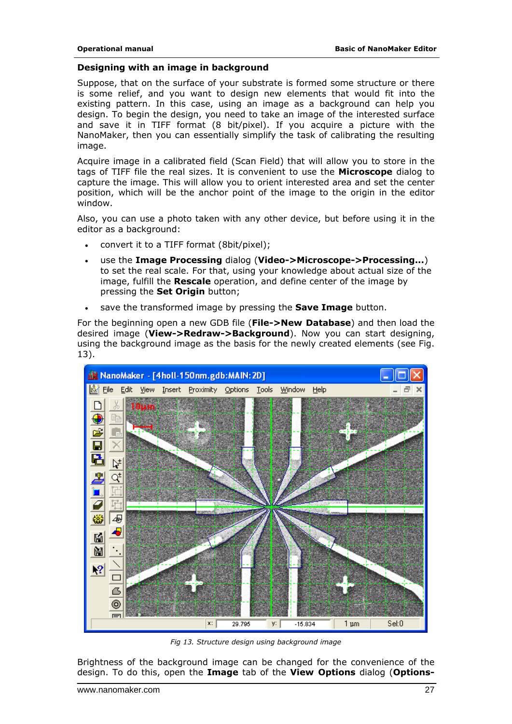#### <span id="page-26-0"></span>**Designing with an image in background**

Suppose, that on the surface of your substrate is formed some structure or there is some relief, and you want to design new elements that would fit into the existing pattern. In this case, using an image as a background can help you design. To begin the design, you need to take an image of the interested surface and save it in TIFF format (8 bit/pixel). If you acquire a picture with the NanoMaker, then you can essentially simplify the task of calibrating the resulting image.

Acquire image in a calibrated field (Scan Field) that will allow you to store in the tags of TIFF file the real sizes. It is convenient to use the **Microscope** dialog to capture the image. This will allow you to orient interested area and set the center position, which will be the anchor point of the image to the origin in the editor window.

Also, you can use a photo taken with any other device, but before using it in the editor as a background:

- convert it to a TIFF format (8bit/pixel);
- use the **Image Processing** dialog (**Video->Microscope->Processing...**) to set the real scale. For that, using your knowledge about actual size of the image, fulfill the **Rescale** operation, and define center of the image by pressing the **Set Origin** button;
- save the transformed image by pressing the **Save Image** button.

For the beginning open a new GDB file (**File->New Database**) and then load the desired image (**View->Redraw->Background**). Now you can start designing, using the background image as the basis for the newly created elements (see Fig. 13).



*Fig 13. Structure design using background image* 

Brightness of the background image can be changed for the convenience of the design. To do this, open the **Image** tab of the **View Options** dialog (**Options-**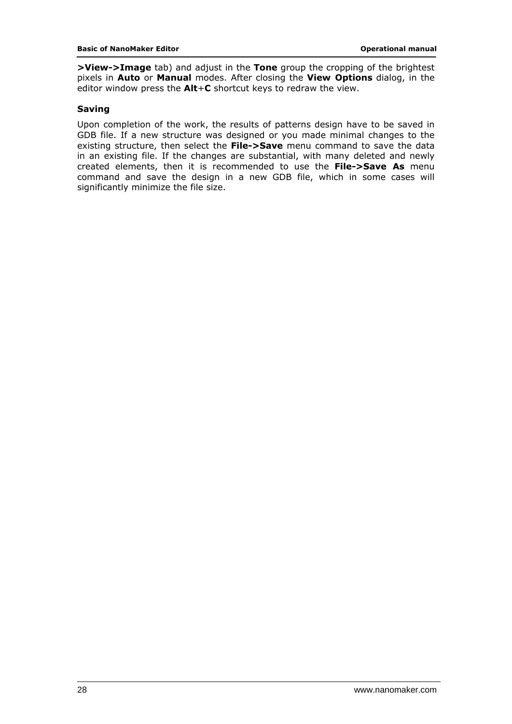<span id="page-27-0"></span>**>View->Image** tab) and adjust in the **Tone** group the cropping of the brightest pixels in **Auto** or **Manual** modes. After closing the **View Options** dialog, in the editor window press the **Alt**+**C** shortcut keys to redraw the view.

#### **Saving**

Upon completion of the work, the results of patterns design have to be saved in GDB file. If a new structure was designed or you made minimal changes to the existing structure, then select the **File->Save** menu command to save the data in an existing file. If the changes are substantial, with many deleted and newly created elements, then it is recommended to use the **File->Save As** menu command and save the design in a new GDB file, which in some cases will significantly minimize the file size.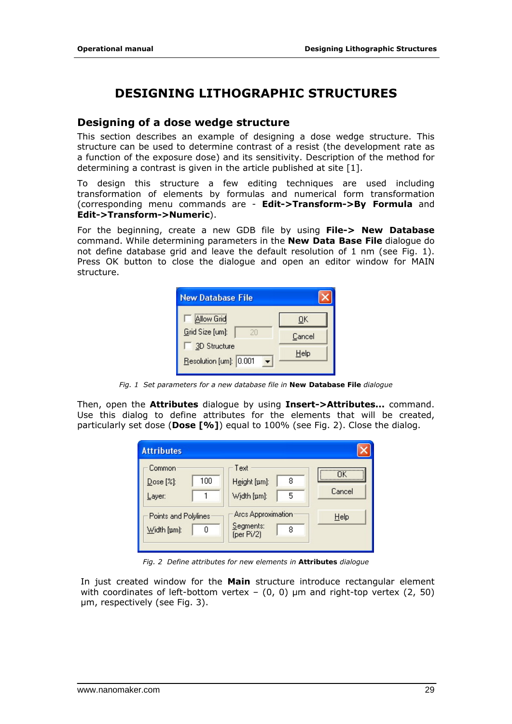# **DESIGNING LITHOGRAPHIC STRUCTURES**

### <span id="page-28-0"></span>**Designing of a dose wedge structure**

This section describes an example of designing a dose wedge structure. This structure can be used to determine contrast of a resist (the development rate as a function of the exposure dose) and its sensitivity. Description of the method for determining a contrast is given in the article published at site [1].

To design this structure a few editing techniques are used including transformation of elements by formulas and numerical form transformation (corresponding menu commands are - **Edit->Transform->By Formula** and **Edit->Transform->Numeric**).

For the beginning, create a new GDB file by using **File-> New Database** command. While determining parameters in the **New Data Base File** dialogue do not define database grid and leave the default resolution of 1 nm (see Fig. 1). Press OK button to close the dialogue and open an editor window for MAIN structure.



*Fig. 1 Set parameters for a new database file in New Database File dialogue* 

Then, open the **Attributes** dialogue by using **Insert->Attributes...** command. Use this dialog to define attributes for the elements that will be created, particularly set dose (**Dose [%]**) equal to 100% (see Fig. 2). Close the dialog.



*Fig. 2 Define attributes for new elements in Attributes dialogue* 

In just created window for the **Main** structure introduce rectangular element with coordinates of left-bottom vertex  $-$  (0, 0)  $\mu$ m and right-top vertex (2, 50) μm, respectively (see Fig. 3).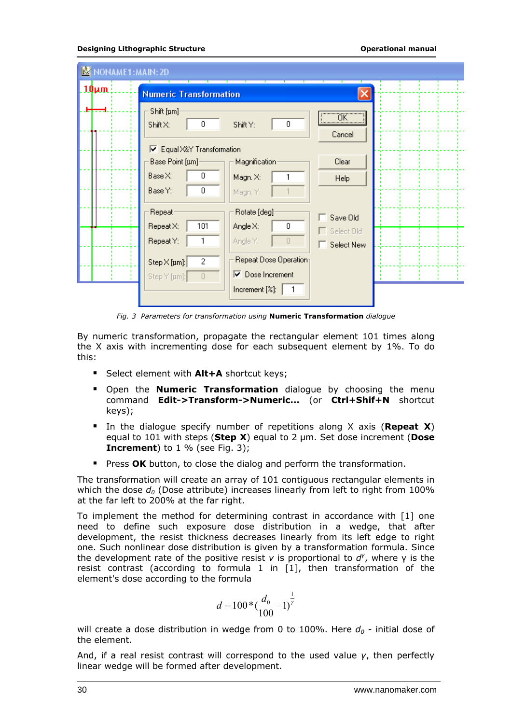#### **Designing Lithographic Structure Constanting Constanting Constanting Constanting Constanting Constanting Constanting Constanting Constanting Constanting Constanting Constanting Constanting Constanting Constanting Const**

| NONAME1:MAIN: 2D |                                                                                                                                             |  |
|------------------|---------------------------------------------------------------------------------------------------------------------------------------------|--|
| <u>.10µm</u>     | <b>Numeric Transformation</b>                                                                                                               |  |
|                  | Shift [um]<br>$\overline{\phantom{a}}$ ok<br>$\boldsymbol{0}$<br>0<br>ShiftY:<br>Shift X:<br>Cancel                                         |  |
|                  | Equal X&Y Transformation<br>R.                                                                                                              |  |
|                  | Clear<br>Base Point [um]-<br>Magnification                                                                                                  |  |
|                  | 0<br>$Base \times:$<br>Magn. X:<br>1<br><b>Help</b><br>0<br>Base Y:<br>Magn. Y:                                                             |  |
|                  | Rotate [deg]<br>Repeat<br>Save Old<br>101<br>Repeat X:<br>Angle X:<br>0<br>Select Old<br>Repeat Y:<br>Angle Y:<br>0<br>Select New           |  |
|                  | Repeat Dose Operation<br>2<br>$Step \times [µm]:$<br>Dose Increment<br>⊽<br>Step Y [µm]:<br>$\mathbf 0$<br>Increment [%]:<br>$\overline{1}$ |  |

*Fig. 3 Parameters for transformation using Numeric Transformation dialogue* 

By numeric transformation, propagate the rectangular element 101 times along the X axis with incrementing dose for each subsequent element by 1%. To do this:

- Select element with **Alt+A** shortcut keys;
- Open the **Numeric Transformation** dialogue by choosing the menu command **Edit->Transform->Numeric...** (or **Ctrl+Shif+N** shortcut keys);
- In the dialogue specify number of repetitions along X axis (**Repeat X**) equal to 101 with steps (**Step X**) equal to 2 μm. Set dose increment (**Dose Increment**) to 1 % (see Fig. 3);
- **Phess OK** button, to close the dialog and perform the transformation.

The transformation will create an array of 101 contiguous rectangular elements in which the dose  $d_0$  (Dose attribute) increases linearly from left to right from 100% at the far left to 200% at the far right.

To implement the method for determining contrast in accordance with [1] one need to define such exposure dose distribution in a wedge, that after development, the resist thickness decreases linearly from its left edge to right one. Such nonlinear dose distribution is given by a transformation formula. Since the development rate of the positive resist *v* is proportional to *d<sup>γ</sup>* , where γ is the resist contrast (according to formula 1 in [1], then transformation of the element's dose according to the formula

$$
d = 100 * \left(\frac{d_0}{100} - 1\right)^{\frac{1}{\gamma}}
$$

will create a dose distribution in wedge from 0 to 100%. Here  $d_0$  - initial dose of the element.

And, if a real resist contrast will correspond to the used value *γ*, then perfectly linear wedge will be formed after development.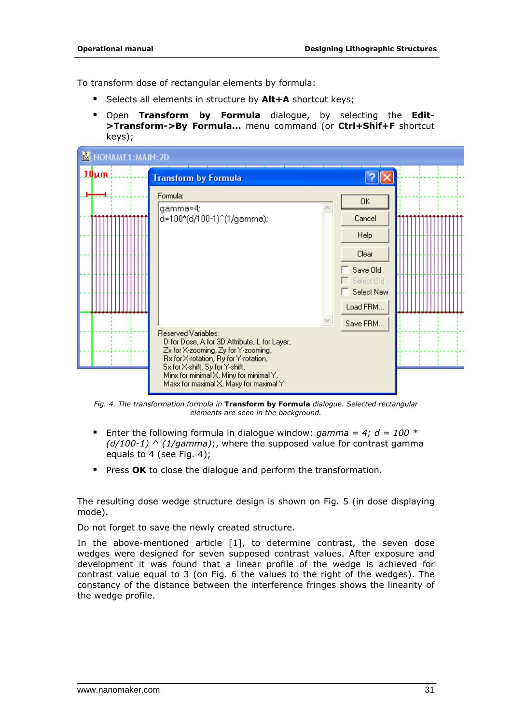To transform dose of rectangular elements by formula:

- Selects all elements in structure by **Alt+A** shortcut keys;
- Open **Transform by Formula** dialogue, by selecting the **Edit- >Transform->By Formula...** menu command (or **Ctrl+Shif+F** shortcut keys);

| NONAME1:MAIN: 2D |                                                                                                                                                                                                                                                                             |                                                                                               |
|------------------|-----------------------------------------------------------------------------------------------------------------------------------------------------------------------------------------------------------------------------------------------------------------------------|-----------------------------------------------------------------------------------------------|
| $10 \mu m$       | <b>Transform by Formula</b>                                                                                                                                                                                                                                                 |                                                                                               |
|                  | Formula:<br>gamma=4;<br> d=100*(d/100-1)^(1/gamma);                                                                                                                                                                                                                         | 0K<br>Cancel<br>Help<br>Clear<br>Save Old<br>Select Old<br>Select New<br>Load FRM<br>Save FRM |
|                  | Reserved Variables:<br>D for Dose, A for 3D Attribute, L for Layer,<br>Zx for X-zooming, Zy for Y-zooming,<br>Rx for X-rotation, Ry for Y-rotation,<br>Sx for X-shift, Sy for Y-shift,<br>Minx for minimal X, Miny for minimal Y,<br>Maxx for maximal X, Maxy for maximal Y |                                                                                               |

*Fig. 4. The transformation formula in Transform by Formula dialogue. Selected rectangular elements are seen in the background.* 

- **E**nter the following formula in dialogue window: gamma = 4;  $d = 100$   $*$ *(d/100-1) ^ (1/gamma)*;, where the supposed value for contrast gamma equals to 4 (see Fig. 4);
- **Press OK** to close the dialogue and perform the transformation.

The resulting dose wedge structure design is shown on Fig. 5 (in dose displaying mode).

Do not forget to save the newly created structure.

In the above-mentioned article [1], to determine contrast, the seven dose wedges were designed for seven supposed contrast values. After exposure and development it was found that a linear profile of the wedge is achieved for contrast value equal to 3 (on Fig. 6 the values to the right of the wedges). The constancy of the distance between the interference fringes shows the linearity of the wedge profile.